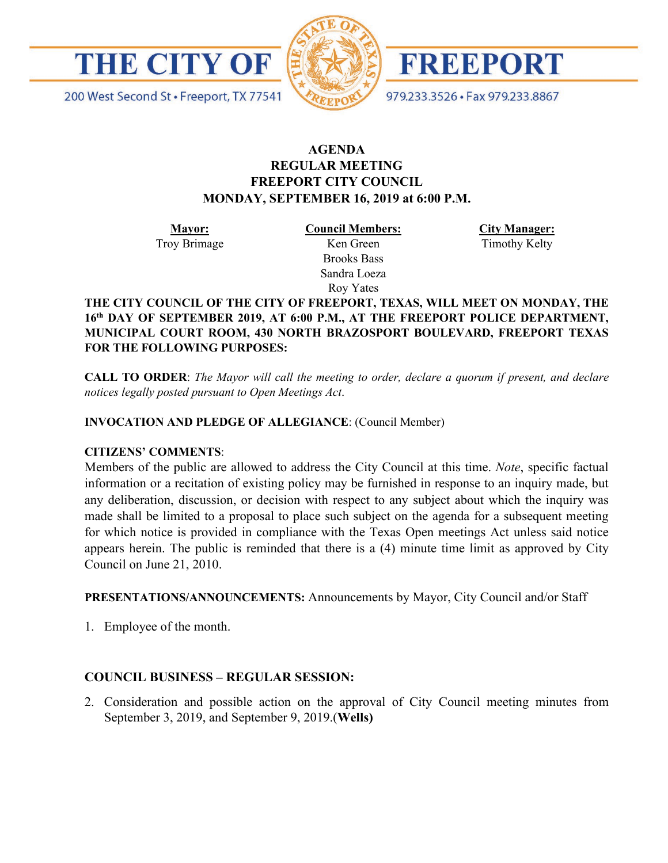

200 West Second St · Freeport, TX 77541



**FREEPORT** 

979.233.3526 · Fax 979.233.8867

# **AGENDA REGULAR MEETING FREEPORT CITY COUNCIL MONDAY, SEPTEMBER 16, 2019 at 6:00 P.M.**

**Mayor:** Troy Brimage **Council Members:** Ken Green

> Brooks Bass Sandra Loeza Roy Yates

**City Manager:**

Timothy Kelty

**THE CITY COUNCIL OF THE CITY OF FREEPORT, TEXAS, WILL MEET ON MONDAY, THE 16th DAY OF SEPTEMBER 2019, AT 6:00 P.M., AT THE FREEPORT POLICE DEPARTMENT, MUNICIPAL COURT ROOM, 430 NORTH BRAZOSPORT BOULEVARD, FREEPORT TEXAS FOR THE FOLLOWING PURPOSES:**

**CALL TO ORDER**: *The Mayor will call the meeting to order, declare a quorum if present, and declare notices legally posted pursuant to Open Meetings Act*.

### **INVOCATION AND PLEDGE OF ALLEGIANCE**: (Council Member)

## **CITIZENS' COMMENTS**:

Members of the public are allowed to address the City Council at this time. *Note*, specific factual information or a recitation of existing policy may be furnished in response to an inquiry made, but any deliberation, discussion, or decision with respect to any subject about which the inquiry was made shall be limited to a proposal to place such subject on the agenda for a subsequent meeting for which notice is provided in compliance with the Texas Open meetings Act unless said notice appears herein. The public is reminded that there is a (4) minute time limit as approved by City Council on June 21, 2010.

**PRESENTATIONS/ANNOUNCEMENTS:** Announcements by Mayor, City Council and/or Staff

1. Employee of the month.

# **COUNCIL BUSINESS – REGULAR SESSION:**

2. Consideration and possible action on the approval of City Council meeting minutes from September 3, 2019, and September 9, 2019.(**Wells)**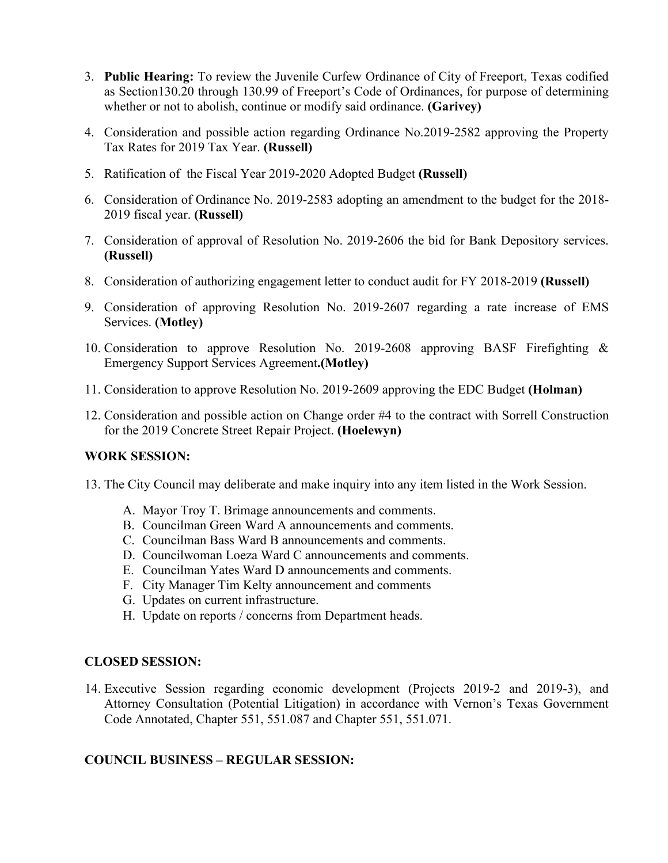- 3. **Public Hearing:** To review the Juvenile Curfew Ordinance of City of Freeport, Texas codified as Section130.20 through 130.99 of Freeport's Code of Ordinances, for purpose of determining whether or not to abolish, continue or modify said ordinance. **(Garivey)**
- 4. Consideration and possible action regarding Ordinance No.2019-2582 approving the Property Tax Rates for 2019 Tax Year. **(Russell)**
- 5. Ratification of the Fiscal Year 2019-2020 Adopted Budget **(Russell)**
- 6. Consideration of Ordinance No. 2019-2583 adopting an amendment to the budget for the 2018- 2019 fiscal year. **(Russell)**
- 7. Consideration of approval of Resolution No. 2019-2606 the bid for Bank Depository services. **(Russell)**
- 8. Consideration of authorizing engagement letter to conduct audit for FY 2018-2019 **(Russell)**
- 9. Consideration of approving Resolution No. 2019-2607 regarding a rate increase of EMS Services. **(Motley)**
- 10. Consideration to approve Resolution No. 2019-2608 approving BASF Firefighting & Emergency Support Services Agreement**.(Motley)**
- 11. Consideration to approve Resolution No. 2019-2609 approving the EDC Budget **(Holman)**
- 12. Consideration and possible action on Change order #4 to the contract with Sorrell Construction for the 2019 Concrete Street Repair Project. **(Hoelewyn)**

#### **WORK SESSION:**

- 13. The City Council may deliberate and make inquiry into any item listed in the Work Session.
	- A. Mayor Troy T. Brimage announcements and comments.
	- B. Councilman Green Ward A announcements and comments.
	- C. Councilman Bass Ward B announcements and comments.
	- D. Councilwoman Loeza Ward C announcements and comments.
	- E. Councilman Yates Ward D announcements and comments.
	- F. City Manager Tim Kelty announcement and comments
	- G. Updates on current infrastructure.
	- H. Update on reports / concerns from Department heads.

#### **CLOSED SESSION:**

14. Executive Session regarding economic development (Projects 2019-2 and 2019-3), and Attorney Consultation (Potential Litigation) in accordance with Vernon's Texas Government Code Annotated, Chapter 551, 551.087 and Chapter 551, 551.071.

## **COUNCIL BUSINESS – REGULAR SESSION:**